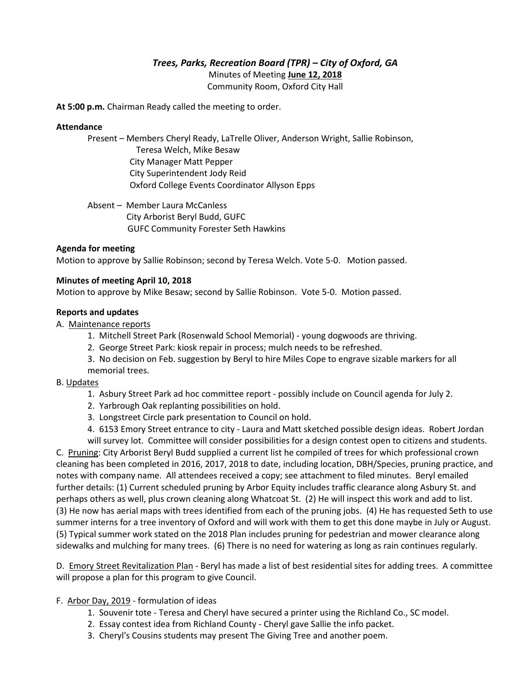# *Trees, Parks, Recreation Board (TPR) – City of Oxford, GA*

Minutes of Meeting **June 12, 2018**

Community Room, Oxford City Hall

**At 5:00 p.m.** Chairman Ready called the meeting to order.

# **Attendance**

Present – Members Cheryl Ready, LaTrelle Oliver, Anderson Wright, Sallie Robinson, Teresa Welch, Mike Besaw City Manager Matt Pepper City Superintendent Jody Reid Oxford College Events Coordinator Allyson Epps

Absent – Member Laura McCanless City Arborist Beryl Budd, GUFCGUFC Community Forester Seth Hawkins

# **Agenda for meeting**

Motion to approve by Sallie Robinson; second by Teresa Welch. Vote 5-0. Motion passed.

#### **Minutes of meeting April 10, 2018**

Motion to approve by Mike Besaw; second by Sallie Robinson. Vote 5-0. Motion passed.

#### **Reports and updates**

A. Maintenance reports

- 1. Mitchell Street Park (Rosenwald School Memorial) young dogwoods are thriving.
- 2. George Street Park: kiosk repair in process; mulch needs to be refreshed.
- 3. No decision on Feb. suggestion by Beryl to hire Miles Cope to engrave sizable markers for all memorial trees.

#### B. Updates

- 1. Asbury Street Park ad hoc committee report possibly include on Council agenda for July 2.
- 2. Yarbrough Oak replanting possibilities on hold.
- 3. Longstreet Circle park presentation to Council on hold.
- 4. 6153 Emory Street entrance to city Laura and Matt sketched possible design ideas. Robert Jordan

will survey lot. Committee will consider possibilities for a design contest open to citizens and students. C. Pruning: City Arborist Beryl Budd supplied a current list he compiled of trees for which professional crown cleaning has been completed in 2016, 2017, 2018 to date, including location, DBH/Species, pruning practice, and notes with company name. All attendees received a copy; see attachment to filed minutes. Beryl emailed further details: (1) Current scheduled pruning by Arbor Equity includes traffic clearance along Asbury St. and perhaps others as well, plus crown cleaning along Whatcoat St. (2) He will inspect this work and add to list. (3) He now has aerial maps with trees identified from each of the pruning jobs. (4) He has requested Seth to use summer interns for a tree inventory of Oxford and will work with them to get this done maybe in July or August. (5) Typical summer work stated on the 2018 Plan includes pruning for pedestrian and mower clearance along sidewalks and mulching for many trees. (6) There is no need for watering as long as rain continues regularly.

D. Emory Street Revitalization Plan - Beryl has made a list of best residential sites for adding trees. A committee will propose a plan for this program to give Council.

# F. Arbor Day, 2019 - formulation of ideas

- 1. Souvenir tote Teresa and Cheryl have secured a printer using the Richland Co., SC model.
- 2. Essay contest idea from Richland County Cheryl gave Sallie the info packet.
- 3. Cheryl's Cousins students may present The Giving Tree and another poem.